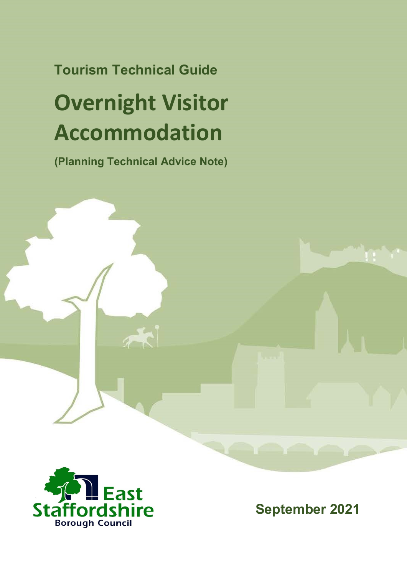## **Tourism Technical Guide**

# **Overnight Visitor Accommodation**

**(Planning Technical Advice Note)**



**September 2021**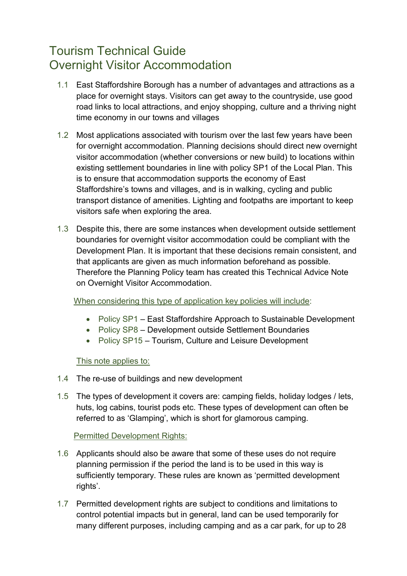### Tourism Technical Guide Overnight Visitor Accommodation

- 1.1 East Staffordshire Borough has a number of advantages and attractions as a place for overnight stays. Visitors can get away to the countryside, use good road links to local attractions, and enjoy shopping, culture and a thriving night time economy in our towns and villages
- 1.2 Most applications associated with tourism over the last few years have been for overnight accommodation. Planning decisions should direct new overnight visitor accommodation (whether conversions or new build) to locations within existing settlement boundaries in line with policy SP1 of the Local Plan. This is to ensure that accommodation supports the economy of East Staffordshire's towns and villages, and is in walking, cycling and public transport distance of amenities. Lighting and footpaths are important to keep visitors safe when exploring the area.
- 1.3 Despite this, there are some instances when development outside settlement boundaries for overnight visitor accommodation could be compliant with the Development Plan. It is important that these decisions remain consistent, and that applicants are given as much information beforehand as possible. Therefore the Planning Policy team has created this Technical Advice Note on Overnight Visitor Accommodation.

When considering this type of application key policies will include:

- Policy SP1 East Staffordshire Approach to Sustainable Development
- Policy SP8 Development outside Settlement Boundaries
- Policy SP15 Tourism, Culture and Leisure Development

This note applies to:

- 1.4 The re-use of buildings and new development
- 1.5 The types of development it covers are: camping fields, holiday lodges / lets, huts, log cabins, tourist pods etc. These types of development can often be referred to as 'Glamping', which is short for glamorous camping.

#### Permitted Development Rights:

- 1.6 Applicants should also be aware that some of these uses do not require planning permission if the period the land is to be used in this way is sufficiently temporary. These rules are known as 'permitted development rights'.
- 1.7 Permitted development rights are subject to conditions and limitations to control potential impacts but in general, land can be used temporarily for many different purposes, including camping and as a car park, for up to 28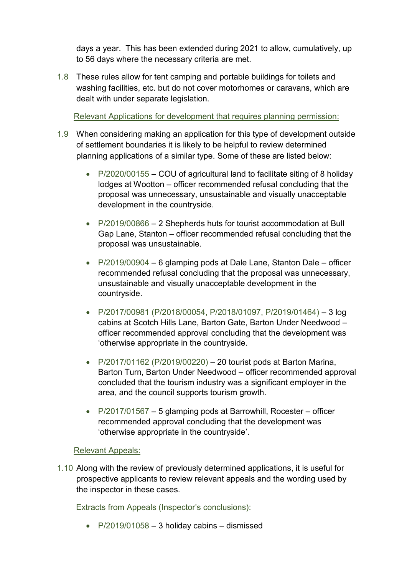days a year. This has been extended during 2021 to allow, cumulatively, up to 56 days where the necessary criteria are met.

1.8 These rules allow for tent camping and portable buildings for toilets and washing facilities, etc. but do not cover motorhomes or caravans, which are dealt with under separate legislation.

Relevant Applications for development that requires planning permission:

- 1.9 When considering making an application for this type of development outside of settlement boundaries it is likely to be helpful to review determined planning applications of a similar type. Some of these are listed below:
	- P/2020/00155 COU of agricultural land to facilitate siting of 8 holiday lodges at Wootton – officer recommended refusal concluding that the proposal was unnecessary, unsustainable and visually unacceptable development in the countryside.
	- P/2019/00866 2 Shepherds huts for tourist accommodation at Bull Gap Lane, Stanton – officer recommended refusal concluding that the proposal was unsustainable.
	- P/2019/00904 6 glamping pods at Dale Lane, Stanton Dale officer recommended refusal concluding that the proposal was unnecessary, unsustainable and visually unacceptable development in the countryside.
	- $\bullet$  P/2017/00981 (P/2018/00054, P/2018/01097, P/2019/01464) 3 log cabins at Scotch Hills Lane, Barton Gate, Barton Under Needwood – officer recommended approval concluding that the development was 'otherwise appropriate in the countryside.
	- $\bullet$  P/2017/01162 (P/2019/00220) 20 tourist pods at Barton Marina, Barton Turn, Barton Under Needwood – officer recommended approval concluded that the tourism industry was a significant employer in the area, and the council supports tourism growth.
	- P/2017/01567 5 glamping pods at Barrowhill, Rocester officer recommended approval concluding that the development was 'otherwise appropriate in the countryside'.

#### Relevant Appeals:

1.10 Along with the review of previously determined applications, it is useful for prospective applicants to review relevant appeals and the wording used by the inspector in these cases.

Extracts from Appeals (Inspector's conclusions):

 $\bullet$  P/2019/01058 – 3 holiday cabins – dismissed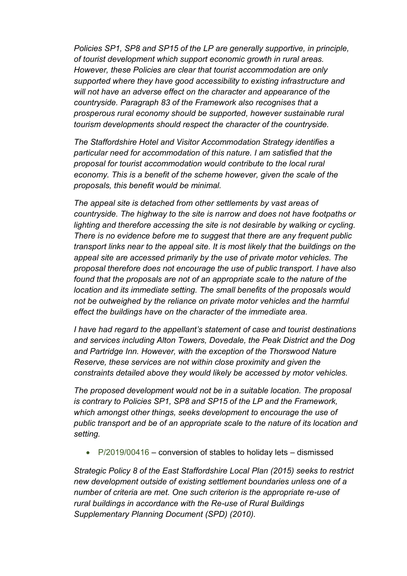*Policies SP1, SP8 and SP15 of the LP are generally supportive, in principle, of tourist development which support economic growth in rural areas. However, these Policies are clear that tourist accommodation are only supported where they have good accessibility to existing infrastructure and will not have an adverse effect on the character and appearance of the countryside. Paragraph 83 of the Framework also recognises that a prosperous rural economy should be supported, however sustainable rural tourism developments should respect the character of the countryside.* 

*The Staffordshire Hotel and Visitor Accommodation Strategy identifies a particular need for accommodation of this nature. I am satisfied that the proposal for tourist accommodation would contribute to the local rural economy. This is a benefit of the scheme however, given the scale of the proposals, this benefit would be minimal.*

*The appeal site is detached from other settlements by vast areas of countryside. The highway to the site is narrow and does not have footpaths or lighting and therefore accessing the site is not desirable by walking or cycling. There is no evidence before me to suggest that there are any frequent public transport links near to the appeal site. It is most likely that the buildings on the appeal site are accessed primarily by the use of private motor vehicles. The proposal therefore does not encourage the use of public transport. I have also found that the proposals are not of an appropriate scale to the nature of the location and its immediate setting. The small benefits of the proposals would not be outweighed by the reliance on private motor vehicles and the harmful effect the buildings have on the character of the immediate area.* 

*I have had regard to the appellant's statement of case and tourist destinations and services including Alton Towers, Dovedale, the Peak District and the Dog and Partridge Inn. However, with the exception of the Thorswood Nature Reserve, these services are not within close proximity and given the constraints detailed above they would likely be accessed by motor vehicles.* 

*The proposed development would not be in a suitable location. The proposal is contrary to Policies SP1, SP8 and SP15 of the LP and the Framework, which amongst other things, seeks development to encourage the use of public transport and be of an appropriate scale to the nature of its location and setting.*

P/2019/00416 – conversion of stables to holiday lets – dismissed

*Strategic Policy 8 of the East Staffordshire Local Plan (2015) seeks to restrict new development outside of existing settlement boundaries unless one of a number of criteria are met. One such criterion is the appropriate re-use of rural buildings in accordance with the Re-use of Rural Buildings Supplementary Planning Document (SPD) (2010).*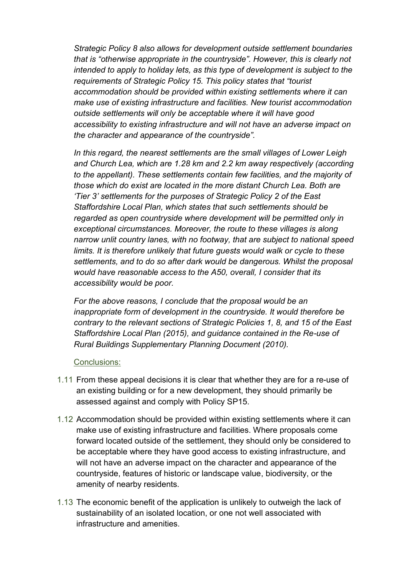*Strategic Policy 8 also allows for development outside settlement boundaries that is "otherwise appropriate in the countryside". However, this is clearly not intended to apply to holiday lets, as this type of development is subject to the requirements of Strategic Policy 15. This policy states that "tourist accommodation should be provided within existing settlements where it can make use of existing infrastructure and facilities. New tourist accommodation outside settlements will only be acceptable where it will have good accessibility to existing infrastructure and will not have an adverse impact on the character and appearance of the countryside".*

*In this regard, the nearest settlements are the small villages of Lower Leigh and Church Lea, which are 1.28 km and 2.2 km away respectively (according to the appellant). These settlements contain few facilities, and the majority of those which do exist are located in the more distant Church Lea. Both are 'Tier 3' settlements for the purposes of Strategic Policy 2 of the East Staffordshire Local Plan, which states that such settlements should be regarded as open countryside where development will be permitted only in exceptional circumstances. Moreover, the route to these villages is along narrow unlit country lanes, with no footway, that are subject to national speed limits. It is therefore unlikely that future quests would walk or cycle to these settlements, and to do so after dark would be dangerous. Whilst the proposal would have reasonable access to the A50, overall, I consider that its accessibility would be poor.*

*For the above reasons, I conclude that the proposal would be an inappropriate form of development in the countryside. It would therefore be contrary to the relevant sections of Strategic Policies 1, 8, and 15 of the East Staffordshire Local Plan (2015), and guidance contained in the Re-use of Rural Buildings Supplementary Planning Document (2010).*

#### Conclusions:

- 1.11 From these appeal decisions it is clear that whether they are for a re-use of an existing building or for a new development, they should primarily be assessed against and comply with Policy SP15.
- 1.12 Accommodation should be provided within existing settlements where it can make use of existing infrastructure and facilities. Where proposals come forward located outside of the settlement, they should only be considered to be acceptable where they have good access to existing infrastructure, and will not have an adverse impact on the character and appearance of the countryside, features of historic or landscape value, biodiversity, or the amenity of nearby residents.
- 1.13 The economic benefit of the application is unlikely to outweigh the lack of sustainability of an isolated location, or one not well associated with infrastructure and amenities.